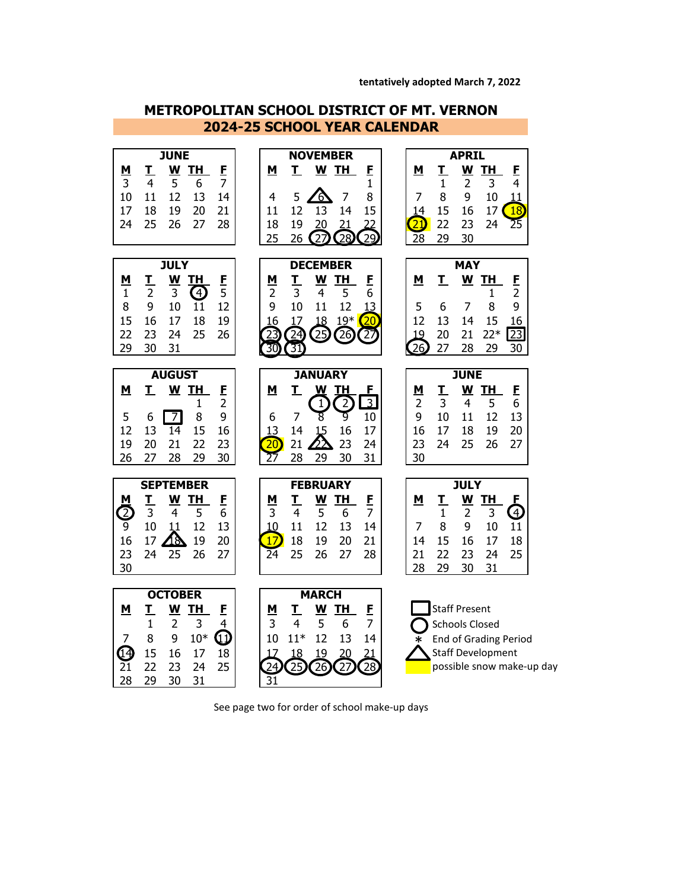**tentatively adopted March 7, 2022**

## **METROPOLITAN SCHOOL DISTRICT OF MT. VERNON 2024-25 SCHOOL YEAR CALENDAR**



See page two for order of school make-up days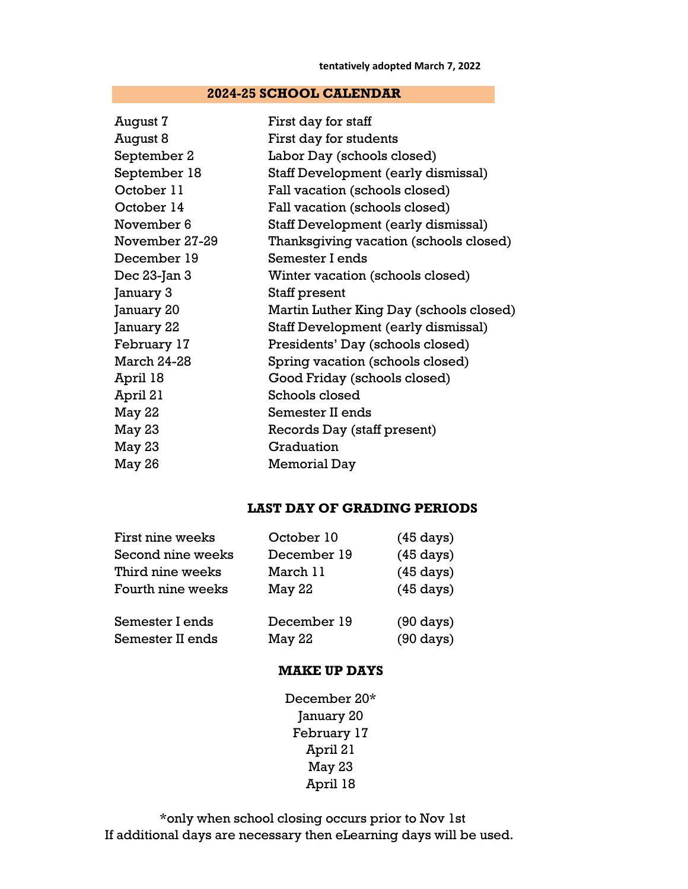## **2024-25 SCHOOL CALENDAR**

| August 7           | First day for staff                     |  |
|--------------------|-----------------------------------------|--|
| August 8           | First day for students                  |  |
| September 2        | Labor Day (schools closed)              |  |
| September 18       | Staff Development (early dismissal)     |  |
| October 11         | Fall vacation (schools closed)          |  |
| October 14         | Fall vacation (schools closed)          |  |
| November 6         | Staff Development (early dismissal)     |  |
| November 27-29     | Thanksgiving vacation (schools closed)  |  |
| December 19        | Semester Lends                          |  |
| Dec 23-Jan 3       | Winter vacation (schools closed)        |  |
| January 3          | Staff present                           |  |
| January 20         | Martin Luther King Day (schools closed) |  |
| January 22         | Staff Development (early dismissal)     |  |
| February 17        | Presidents' Day (schools closed)        |  |
| <b>March 24-28</b> | Spring vacation (schools closed)        |  |
| April 18           | Good Friday (schools closed)            |  |
| April 21           | Schools closed                          |  |
| May 22             | Semester II ends                        |  |
| May 23             | Records Day (staff present)             |  |
| May 23             | <b>Graduation</b>                       |  |
| May 26             | <b>Memorial Day</b>                     |  |

## **LAST DAY OF GRADING PERIODS**

| First nine weeks  | October 10  | $(45 \text{ days})$ |
|-------------------|-------------|---------------------|
| Second nine weeks | December 19 | $(45 \text{ days})$ |
| Third nine weeks  | March 11    | $(45 \text{ days})$ |
| Fourth nine weeks | May 22      | $(45 \text{ days})$ |
| Semester I ends   | December 19 | $(90 \text{ days})$ |
| Semester II ends  | May 22      | $(90 \text{ days})$ |

## **MAKE UP DAYS**

December 20\* January 20 February 17 April 21 May 23 April 18

\*only when school closing occurs prior to Nov 1st If additional days are necessary then eLearning days will be used.